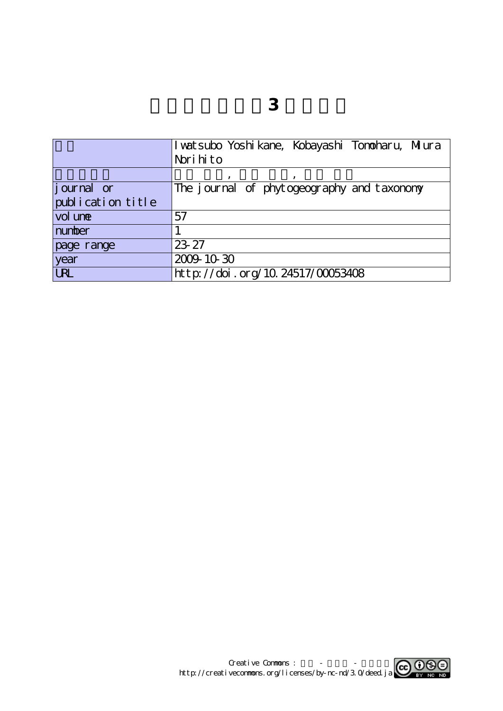|                   | I vatsubo Yoshi kane, Kobayashi Tonoharu, Mjura |
|-------------------|-------------------------------------------------|
|                   | Nori hito                                       |
|                   |                                                 |
| journal or        | The journal of phytogeography and taxonomy      |
| publication title |                                                 |
| vol une           | 57                                              |
| number            |                                                 |
| page range        | 23-27                                           |
| year              | 2009-10-30                                      |
| <b>LRL</b>        | http://doi.org/10.24517/00053408                |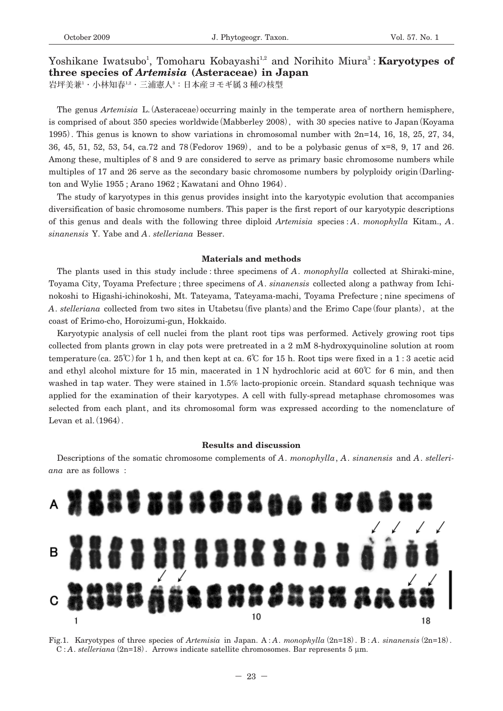Yoshikane Iwatsubo<sup>1</sup>, Tomoharu Kobayashi<sup>1,2</sup> and Norihito Miura<sup>3</sup>: **Karyotypes of three species of** *Artemisia* **(Asteraceae) in Japan 岩坪美兼**<sup>1</sup> **・小林知春**1,2**・三浦憲人**<sup>3</sup> **:日本産ヨモギ属** 3 **種の核型**

The genus *Artemisia* L.**(**Asteraceae**)**occurring mainly in the temperate area of northern hemisphere, is comprised of about 350 species worldwide**(**Mabberley 2008**),**with 30 species native to Japan**(**Koyama 1995**)**. This genus is known to show variations in chromosomal number with 2n=14, 16, 18, 25, 27, 34, 36, 45, 51, 52, 53, 54, ca.72 and 78**(**Fedorov 1969**),**and to be a polybasic genus of x=8, 9, 17 and 26.

ton and Wylie 1955 ; Arano 1962 ; Kawatani and Ohno 1964**)**. The study of karyotypes in this genus provides insight into the karyotypic evolution that accompanies diversification of basic chromosome numbers. This paper is the first report of our karyotypic descriptions of this genus and deals with the following three diploid *Artemisia* species : *A*. *monophylla* Kitam., *A*. *sinanensis* Y. Yabe and *A*. *stelleriana* Besser.

Among these, multiples of 8 and 9 are considered to serve as primary basic chromosome numbers while multiples of 17 and 26 serve as the secondary basic chromosome numbers by polyploidy origin**(**Darling-

#### **Materials and methods**

The plants used in this study include : three specimens of *A*. *monophylla* collected at Shiraki-mine, Toyama City, Toyama Prefecture ; three specimens of *A*. *sinanensis* collected along a pathway from Ichinokoshi to Higashi-ichinokoshi, Mt. Tateyama, Tateyama-machi, Toyama Prefecture ; nine specimens of *A*. *stelleriana* collected from two sites in Utabetsu**(**five plants**)**and the Erimo Cape**(**four plants**),**at the coast of Erimo-cho, Horoizumi-gun, Hokkaido.

Karyotypic analysis of cell nuclei from the plant root tips was performed. Actively growing root tips collected from plants grown in clay pots were pretreated in a 2 mM 8-hydroxyquinoline solution at room temperature**(**ca. 25**℃)**for 1 h, and then kept at ca. 6**℃** for 15 h. Root tips were fixed in a 1 : 3 acetic acid and ethyl alcohol mixture for 15 min, macerated in 1 N hydrochloric acid at 60**℃** for 6 min, and then washed in tap water. They were stained in 1.5% lacto-propionic orcein. Standard squash technique was applied for the examination of their karyotypes. A cell with fully-spread metaphase chromosomes was selected from each plant, and its chromosomal form was expressed according to the nomenclature of Levan et al.**(**1964**)**.

### **Results and discussion**

Descriptions of the somatic chromosome complements of *A*. *monophylla*, *A*. *sinanensis* and *A*. *stelleriana* are as follows :



Fig.1. Karyotypes of three species of *Artemisia* in Japan. A : *A*. *monophylla***(**2n=18**)**. B: *A*. *sinanensis***(**2n=18**)**. C : *A*. *stelleriana***(**2n=18**)**. Arrows indicate satellite chromosomes. Bar represents 5 μm.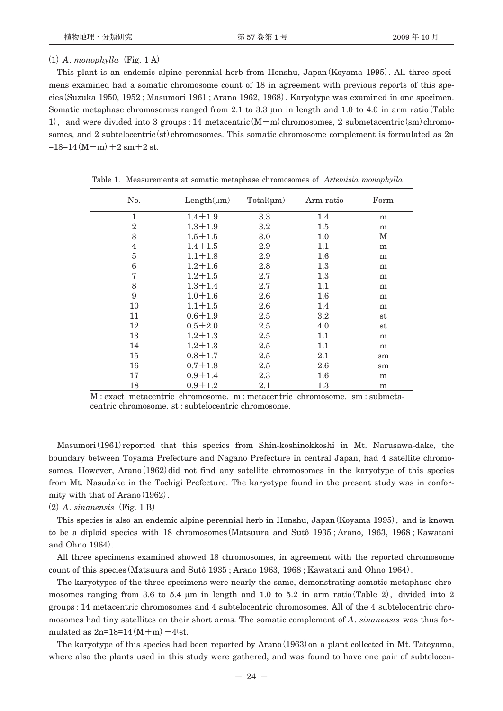# $(1)$  *A*. *monophylla*  $(Fig. 1 A)$

This plant is an endemic alpine perennial herb from Honshu, Japan**(**Koyama 1995**)**. All three specimens examined had a somatic chromosome count of 18 in agreement with previous reports of this species**(**Suzuka 1950, 1952 ; Masumori 1961 ; Arano 1962, 1968**)**. Karyotype was examined in one specimen. Somatic metaphase chromosomes ranged from 2.1 to 3.3 μm in length and 1.0 to 4.0 in arm ratio**(**Table 1**),**and were divided into 3 groups : 14 metacentric**(**M**+**m**)**chromosomes, 2 submetacentric**(**sm**)**chromosomes, and 2 subtelocentric (st) chromosomes. This somatic chromosome complement is formulated as 2n  $=18=14$  (M + m) + 2 sm + 2 st.

| No.            | $Length(\mu m)$ | $Total(\mu m)$ | Arm ratio | Form        |
|----------------|-----------------|----------------|-----------|-------------|
| 1              | $1.4 + 1.9$     | 3.3            | 1.4       | m           |
| $\overline{2}$ | $1.3 + 1.9$     | $3.2\,$        | $1.5\,$   | m           |
| 3              | $1.5 + 1.5$     | 3.0            | $1.0\,$   | М           |
| $\overline{4}$ | $1.4 + 1.5$     | 2.9            | 1.1       | m           |
| $\overline{5}$ | $1.1 + 1.8$     | 2.9            | $1.6\,$   | m           |
| 6              | $1.2 + 1.6$     | 2.8            | $1.3\,$   | m           |
| 7              | $1.2 + 1.5$     | 2.7            | 1.3       | m           |
| 8              | $1.3 + 1.4$     | 2.7            | 1.1       | m           |
| 9              | $1.0 + 1.6$     | 2.6            | $1.6\,$   | m           |
| 10             | $1.1 + 1.5$     | 2.6            | 1.4       | m           |
| 11             | $0.6 + 1.9$     | 2.5            | $3.2\,$   | st          |
| 12             | $0.5 + 2.0$     | 2.5            | 4.0       | st          |
| 13             | $1.2 + 1.3$     | 2.5            | 1.1       | m           |
| 14             | $1.2 + 1.3$     | 2.5            | 1.1       | m           |
| 15             | $0.8 + 1.7$     | 2.5            | 2.1       | $\text{sm}$ |
| 16             | $0.7 + 1.8$     | 2.5            | 2.6       | sm          |
| 17             | $0.9 + 1.4$     | 2.3            | $1.6\,$   | m           |
| 18             | $0.9 + 1.2$     | 2.1            | $1.3\,$   | m           |

Table 1. Measurements at somatic metaphase chromosomes of *Artemisia monophylla*

Masumori**(**1961**)**reported that this species from Shin-koshinokkoshi in Mt. Narusawa-dake, the boundary between Toyama Prefecture and Nagano Prefecture in central Japan, had 4 satellite chromosomes. However, Arano**(**1962**)**did not find any satellite chromosomes in the karyotype of this species from Mt. Nasudake in the Tochigi Prefecture. The karyotype found in the present study was in conformity with that of Arano**(**1962**)**.

**(**2**)***A*. *sinanensis***(**Fig. 1 B**)**

This species is also an endemic alpine perennial herb in Honshu, Japan**(**Koyama 1995**),**and is known to be a diploid species with 18 chromosomes**(**Matsuura and Sutô 1935 ; Arano, 1963, 1968 ; Kawatani and Ohno 1964**)**.

All three specimens examined showed 18 chromosomes, in agreement with the reported chromosome count of this species**(**Matsuura and Sutô 1935 ; Arano 1963, 1968 ; Kawatani and Ohno 1964**)**.

The karyotypes of the three specimens were nearly the same, demonstrating somatic metaphase chromosomes ranging from 3.6 to 5.4 μm in length and 1.0 to 5.2 in arm ratio**(**Table 2**),**divided into 2 groups : 14 metacentric chromosomes and 4 subtelocentric chromosomes. All of the 4 subtelocentric chromosomes had tiny satellites on their short arms. The somatic complement of *A*. *sinanensis* was thus formulated as  $2n=18=14 (M+m) + 4t$ st.

The karyotype of this species had been reported by Arano**(**1963**)**on a plant collected in Mt. Tateyama, where also the plants used in this study were gathered, and was found to have one pair of subtelocen-

M : exact metacentric chromosome. m : metacentric chromosome. sm : submetacentric chromosome. st : subtelocentric chromosome.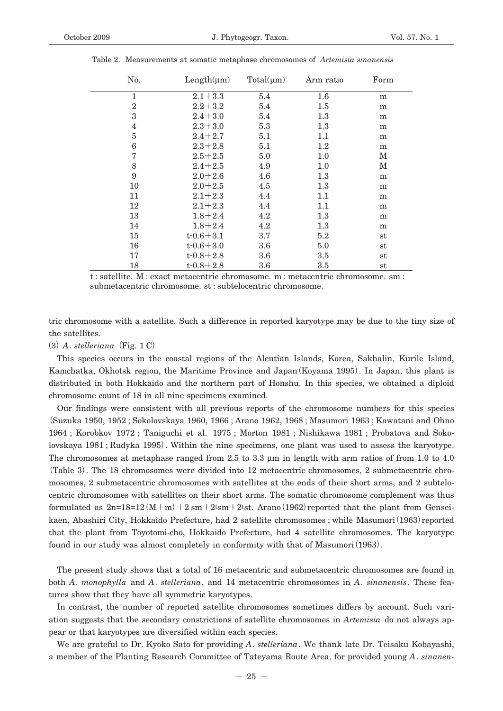| No.            | $Length(\mu m)$ | $Total(\mu m)$ | Arm ratio | Form        |
|----------------|-----------------|----------------|-----------|-------------|
| $\mathbf{1}$   | $2.1 + 3.3$     | 5.4            | $1.6\,$   | m           |
| $\overline{2}$ | $2.2 + 3.2$     | 5.4            | $1.5\,$   | m           |
| 3              | $2.4 + 3.0$     | 5.4            | 1.3       | m           |
| $\overline{4}$ | $2.3 + 3.0$     | 5.3            | 1.3       | m           |
| 5              | $2.4 + 2.7$     | 5.1            | 1.1       | m           |
| 6              | $2.3 + 2.8$     | 5.1            | $1.2\,$   | m           |
| 7              | $2.5 + 2.5$     | 5.0            | 1.0       | М           |
| 8              | $2.4 + 2.5$     | 4.9            | 1.0       | М           |
| 9              | $2.0 + 2.6$     | 4.6            | $1.3\,$   | m           |
| 10             | $2.0 + 2.5$     | 4.5            | 1.3       | m           |
| 11             | $2.1 + 2.3$     | 4.4            | 1.1       | m           |
| 12             | $2.1 + 2.3$     | 4.4            | 1.1       | m           |
| 13             | $1.8 + 2.4$     | 4.2            | $1.3\,$   | m           |
| 14             | $1.8 + 2.4$     | 4.2            | 1.3       | m           |
| 15             | $t - 0.6 + 3.1$ | 3.7            | 5.2       | $^{\rm st}$ |
| 16             | $t - 0.6 + 3.0$ | 3.6            | 5.0       | $^{\rm st}$ |
| 17             | $t - 0.8 + 2.8$ | 3.6            | 3.5       | $^{\rm st}$ |
| 18             | $t - 0.8 + 2.8$ | 3.6            | 3.5       | $^{\rm st}$ |

Table 2. Measurements at somatic metaphase chromosomes of *Artemisia sinanensis*

t : satellite. M : exact metacentric chromosome. m : metacentric chromosome. sm : submetacentric chromosome. st : subtelocentric chromosome.

tric chromosome with a satellite. Such a difference in reported karyotype may be due to the tiny size of the satellites.

**(**3**)***A*. *stelleriana***(**Fig. 1 C**)**

This species occurs in the coastal regions of the Aleutian Islands, Korea, Sakhalin, Kurile Island, Kamchatka, Okhotsk region, the Maritime Province and Japan**(**Koyama 1995**)**. In Japan, this plant is distributed in both Hokkaido and the northern part of Honshu. In this species, we obtained a diploid chromosome count of 18 in all nine specimens examined.

Our findings were consistent with all previous reports of the chromosome numbers for this species **(**Suzuka 1950, 1952 ; Sokolovskaya 1960, 1966 ; Arano 1962, 1968 ; Masumori 1963 ; Kawatani and Ohno 1964 ; Korobkov 1972 ; Taniguchi et al. 1975 ; Morton 1981 ; Nishikawa 1981 ; Probatova and Sokolovskaya 1981 ; Rudyka 1995**)**. Within the nine specimens, one plant was used to assess the karyotype. The chromosomes at metaphase ranged from 2.5 to 3.3 μm in length with arm ratios of from 1.0 to 4.0 **(**Table 3**)**. The 18 chromosomes were divided into 12 metacentric chromosomes, 2 submetacentric chromosomes, 2 submetacentric chromosomes with satellites at the ends of their short arms, and 2 subtelocentric chromosomes with satellites on their short arms. The somatic chromosome complement was thus formulated as  $2n=18=12 (M+m)+2$  sm $+2$ tsm $+2$ tst. Arano (1962) reported that the plant from Genseikaen, Abashiri City, Hokkaido Prefecture, had 2 satellite chromosomes ; while Masumori**(**1963**)**reported that the plant from Toyotomi-cho, Hokkaido Prefecture, had 4 satellite chromosomes. The karyotype found in our study was almost completely in conformity with that of Masumori**(**1963**)**.

The present study shows that a total of 16 metacentric and submetacentric chromosomes are found in both *A*. *monophylla* and *A*. *stelleriana*, and 14 metacentric chromosomes in *A*. *sinanensis*. These features show that they have all symmetric karyotypes.

In contrast, the number of reported satellite chromosomes sometimes differs by account. Such variation suggests that the secondary constrictions of satellite chromosomes in *Artemisia* do not always appear or that karyotypes are diversified within each species.

We are grateful to Dr. Kyoko Sato for providing *A*. *stelleriana*. We thank late Dr. Teisaku Kobayashi, a member of the Planting Research Committee of Tateyama Route Area, for provided young *A*. *sinanen-*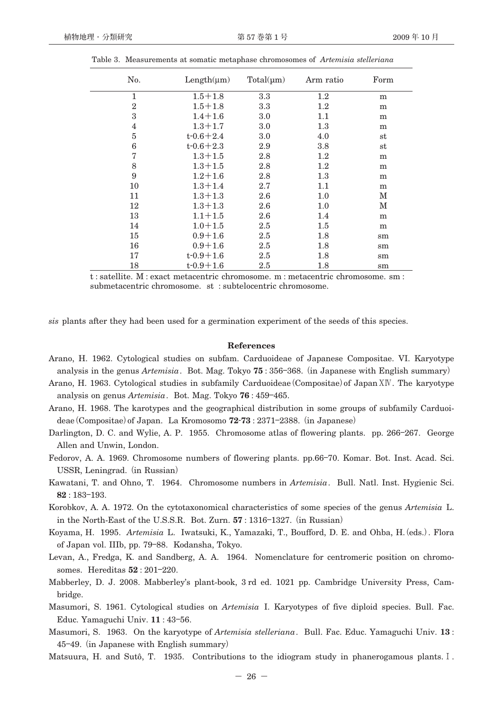| No.            | $Length(\mu m)$ | $Total(\mu m)$ | Arm ratio | Form        |
|----------------|-----------------|----------------|-----------|-------------|
| $\mathbf{1}$   | $1.5 + 1.8$     | 3.3            | $1.2\,$   | m           |
| $\overline{2}$ | $1.5 + 1.8$     | 3.3            | $1.2\,$   | m           |
| 3              | $1.4 + 1.6$     | 3.0            | 1.1       | m           |
| $\overline{4}$ | $1.3 + 1.7$     | 3.0            | 1.3       | m           |
| $\overline{5}$ | $t - 0.6 + 2.4$ | 3.0            | 4.0       | $^{\rm st}$ |
| 6              | $t - 0.6 + 2.3$ | 2.9            | 3.8       | $^{\rm st}$ |
| 7              | $1.3 + 1.5$     | 2.8            | $1.2\,$   | m           |
| 8              | $1.3 + 1.5$     | 2.8            | $1.2\,$   | m           |
| 9              | $1.2 + 1.6$     | 2.8            | 1.3       | m           |
| 10             | $1.3 + 1.4$     | 2.7            | 1.1       | m           |
| 11             | $1.3 + 1.3$     | 2.6            | 1.0       | М           |
| 12             | $1.3 + 1.3$     | 2.6            | 1.0       | М           |
| 13             | $1.1 + 1.5$     | 2.6            | 1.4       | m           |
| 14             | $1.0 + 1.5$     | 2.5            | 1.5       | m           |
| 15             | $0.9 + 1.6$     | 2.5            | 1.8       | sm          |
| 16             | $0.9 + 1.6$     | 2.5            | 1.8       | sm          |
| 17             | $t - 0.9 + 1.6$ | 2.5            | 1.8       | sm          |
| 18             | $t - 0.9 + 1.6$ | 2.5            | 1.8       | sm          |

Table 3. Measurements at somatic metaphase chromosomes of *Artemisia stelleriana*

t : satellite. M : exact metacentric chromosome. m : metacentric chromosome. sm : submetacentric chromosome. st : subtelocentric chromosome.

*sis* plants after they had been used for a germination experiment of the seeds of this species.

## **References**

- Arano, H. 1962. Cytological studies on subfam. Carduoideae of Japanese Compositae. VI. Karyotype analysis in the genus *Artemisia*. Bot. Mag. Tokyo **75** : 356**―**368.**(**in Japanese with English summary**)**
- Arano, H. 1963. Cytological studies in subfamily Carduoideae**(**Compositae**)**of Japan-. The karyotype analysis on genus *Artemisia*. Bot. Mag. Tokyo **76** : 459**―**465.
- Arano, H. 1968. The karotypes and the geographical distribution in some groups of subfamily Carduoideae**(**Compositae**)**of Japan. La Kromosomo **72**-**73** : 2371**―**2388.**(**in Japanese**)**
- Darlington, D. C. and Wylie, A. P. 1955. Chromosome atlas of flowering plants. pp. 266–267. George Allen and Unwin, London.
- Fedorov, A. A. 1969. Chromosome numbers of flowering plants. pp.66**―**70. Komar. Bot. Inst. Acad. Sci. USSR, Leningrad.**(**in Russian**)**
- Kawatani, T. and Ohno, T. 1964. Chromosome numbers in *Artemisia*. Bull. Natl. Inst. Hygienic Sci. **82** : 183**―**193.
- Korobkov, A. A. 1972. On the cytotaxonomical characteristics of some species of the genus *Artemisia* L. in the North-East of the U.S.S.R. Bot. Zurn. **57** : 1316**―**1327.**(**in Russian**)**
- Koyama, H. 1995. *Artemisia* L. Iwatsuki, K., Yamazaki, T., Boufford, D. E. and Ohba, H.**(**eds.**)**. Flora of Japan vol. IIIb, pp. 79**―**88. Kodansha, Tokyo.
- Levan, A., Fredga, K. and Sandberg, A. A. 1964. Nomenclature for centromeric position on chromosomes. Hereditas **52** : 201**―**220.
- Mabberley, D. J. 2008. Mabberley's plant-book, 3 rd ed. 1021 pp. Cambridge University Press, Cambridge.
- Masumori, S. 1961. Cytological studies on *Artemisia* I. Karyotypes of five diploid species. Bull. Fac. Educ. Yamaguchi Univ. **11** : 43**―**56.
- Masumori, S. 1963. On the karyotype of *Artemisia stelleriana*. Bull. Fac. Educ. Yamaguchi Univ. **13** : 45**―**49.**(**in Japanese with English summary**)**
- Matsuura, H. and Sutô, T. 1935. Contributions to the idiogram study in phanerogamous plants. I.